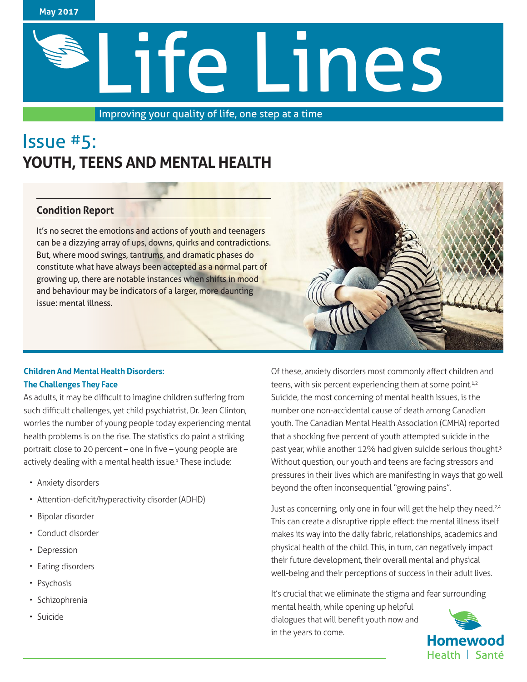

# Life Lines

Improving your quality of life, one step at a time

# Issue #5: **YOUTH, TEENS AND MENTAL HEALTH**

## **Condition Report**

It's no secret the emotions and actions of youth and teenagers can be a dizzying array of ups, downs, quirks and contradictions. But, where mood swings, tantrums, and dramatic phases do constitute what have always been accepted as a normal part of growing up, there are notable instances when shifts in mood and behaviour may be indicators of a larger, more daunting issue: mental illness.

## **Children And Mental Health Disorders: The Challenges They Face**

As adults, it may be difficult to imagine children suffering from such difficult challenges, yet child psychiatrist, Dr. Jean Clinton, worries the number of young people today experiencing mental health problems is on the rise. The statistics do paint a striking portrait: close to 20 percent – one in five – young people are actively dealing with a mental health issue.<sup>1</sup> These include:

- Anxiety disorders
- Attention-deficit/hyperactivity disorder (ADHD)
- Bipolar disorder
- Conduct disorder
- Depression
- Eating disorders
- Psychosis
- Schizophrenia
- Suicide



Just as concerning, only one in four will get the help they need.<sup>2,4</sup> This can create a disruptive ripple effect: the mental illness itself makes its way into the daily fabric, relationships, academics and physical health of the child. This, in turn, can negatively impact their future development, their overall mental and physical well-being and their perceptions of success in their adult lives.

It's crucial that we eliminate the stigma and fear surrounding mental health, while opening up helpful dialogues that will benefit youth now and in the years to come.

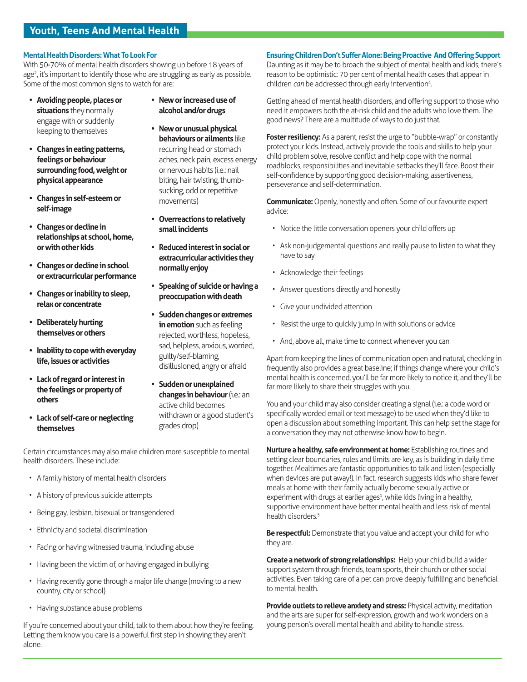#### **Mental Health Disorders: What To Look For**

With 50-70% of mental health disorders showing up before 18 years of age<sup>2</sup>, it's important to identify those who are struggling as early as possible. Some of the most common signs to watch for are:

- **• Avoiding people, places or situations** they normally engage with or suddenly keeping to themselves
- **• Changes in eating patterns, feelings or behaviour surrounding food, weight or physical appearance**
- **• Changes in self-esteem or self-image**
- **• Changes or decline in relationships at school, home, or with other kids**
- **• Changes or decline in school or extracurricular performance**
- **• Changes or inability to sleep, relax or concentrate**
- **• Deliberately hurting themselves or others**
- **• Inability to cope with everyday life, issues or activities**
- **• Lack of regard or interest in the feelings or property of others**
- **• Lack of self-care or neglecting themselves**
- **• New or increased use of alcohol and/or drugs**
- **• New or unusual physical behaviours or ailments** like recurring head or stomach aches, neck pain, excess energy or nervous habits (i.e.: nail biting, hair twisting, thumbsucking, odd or repetitive movements)
- **• Overreactions to relatively small incidents**
- **• Reduced interest in social or extracurricular activities they normally enjoy**
- **• Speaking of suicide or having a preoccupation with death**
- **• Sudden changes or extremes in emotion** such as feeling rejected, worthless, hopeless, sad, helpless, anxious, worried, guilty/self-blaming, disillusioned, angry or afraid
	- **• Sudden or unexplained changes in behaviour** (i.e.: an active child becomes withdrawn or a good student's grades drop)

Certain circumstances may also make children more susceptible to mental health disorders. These include:

- A family history of mental health disorders
- A history of previous suicide attempts
- Being gay, lesbian, bisexual or transgendered
- Ethnicity and societal discrimination
- Facing or having witnessed trauma, including abuse
- Having been the victim of, or having engaged in bullying
- Having recently gone through a major life change (moving to a new country, city or school)
- Having substance abuse problems

If you're concerned about your child, talk to them about how they're feeling. Letting them know you care is a powerful first step in showing they aren't alone.

#### **Ensuring Children Don't Suffer Alone: Being Proactive And Offering Support**

Daunting as it may be to broach the subject of mental health and kids, there's reason to be optimistic: 70 per cent of mental health cases that appear in children *can* be addressed through early intervention<sup>4</sup>.

Getting ahead of mental health disorders, and offering support to those who need it empowers both the at-risk child and the adults who love them. The good news? There are a multitude of ways to do just that.

Foster resiliency: As a parent, resist the urge to "bubble-wrap" or constantly protect your kids. Instead, actively provide the tools and skills to help your child problem solve, resolve conflict and help cope with the normal roadblocks, responsibilities and inevitable setbacks they'll face. Boost their self-confidence by supporting good decision-making, assertiveness, perseverance and self-determination.

**Communicate:** Openly, honestly and often. Some of our favourite expert advice:

- Notice the little conversation openers your child offers up
- Ask non-judgemental questions and really pause to listen to what they have to say
- Acknowledge their feelings
- Answer questions directly and honestly
- Give your undivided attention
- Resist the urge to quickly jump in with solutions or advice
- And, above all, make time to connect whenever you can

Apart from keeping the lines of communication open and natural, checking in frequently also provides a great baseline; if things change where your child's mental health is concerned, you'll be far more likely to notice it, and they'll be far more likely to share their struggles with you.

You and your child may also consider creating a signal (i.e.: a code word or specifically worded email or text message) to be used when they'd like to open a discussion about something important. This can help set the stage for a conversation they may not otherwise know how to begin.

**Nurture a healthy, safe environment at home:** Establishing routines and setting clear boundaries, rules and limits are key, as is building in daily time together. Mealtimes are fantastic opportunities to talk and listen (especially when devices are put away!). In fact, research suggests kids who share fewer meals at home with their family actually become sexually active or experiment with drugs at earlier ages<sup>1</sup>, while kids living in a healthy, supportive environment have better mental health and less risk of mental health disorders.<sup>5</sup>

**Be respectful:** Demonstrate that you value and accept your child for who they are.

**Create a network of strong relationships:** Help your child build a wider support system through friends, team sports, their church or other social activities. Even taking care of a pet can prove deeply fulfilling and beneficial to mental health.

**Provide outlets to relieve anxiety and stress:** Physical activity, meditation and the arts are super for self-expression, growth and work wonders on a young person's overall mental health and ability to handle stress.